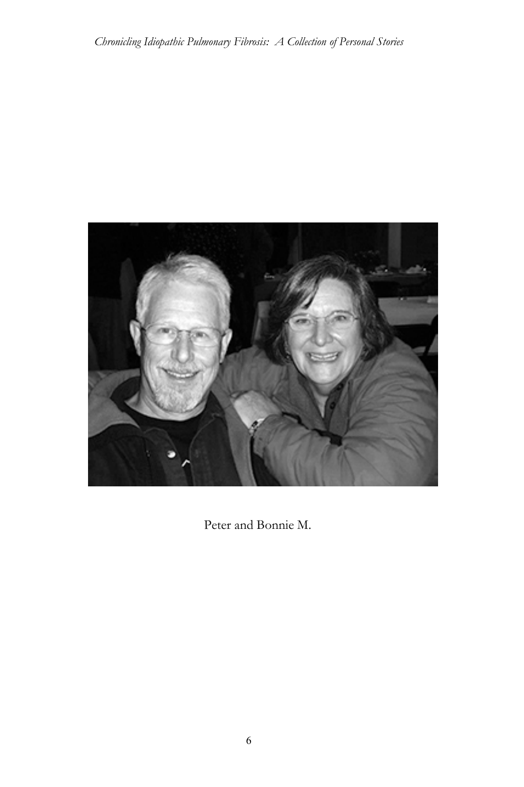

Peter and Bonnie M.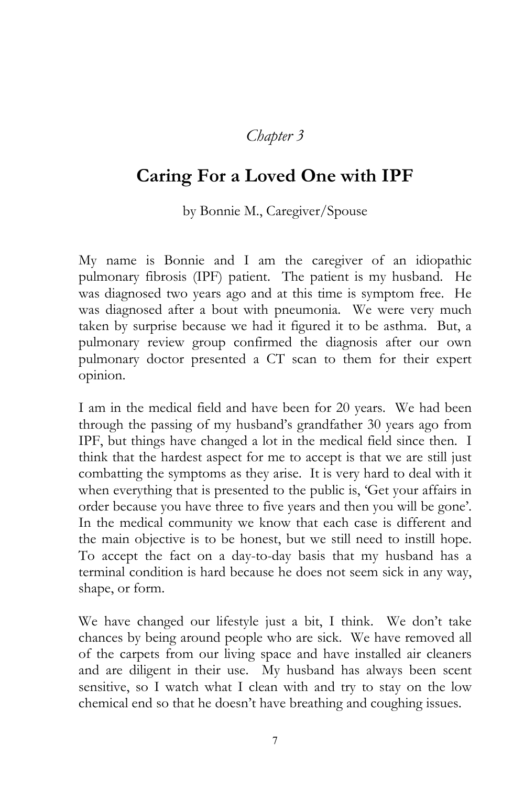## *Chapter 3*

## **Caring For a Loved One with IPF**

by Bonnie M., Caregiver/Spouse

My name is Bonnie and I am the caregiver of an idiopathic pulmonary fibrosis (IPF) patient. The patient is my husband. He was diagnosed two years ago and at this time is symptom free. He was diagnosed after a bout with pneumonia. We were very much taken by surprise because we had it figured it to be asthma. But, a pulmonary review group confirmed the diagnosis after our own pulmonary doctor presented a CT scan to them for their expert opinion.

I am in the medical field and have been for 20 years. We had been through the passing of my husband's grandfather 30 years ago from IPF, but things have changed a lot in the medical field since then. I think that the hardest aspect for me to accept is that we are still just combatting the symptoms as they arise. It is very hard to deal with it when everything that is presented to the public is, 'Get your affairs in order because you have three to five years and then you will be gone'. In the medical community we know that each case is different and the main objective is to be honest, but we still need to instill hope. To accept the fact on a day-to-day basis that my husband has a terminal condition is hard because he does not seem sick in any way, shape, or form.

We have changed our lifestyle just a bit, I think. We don't take chances by being around people who are sick. We have removed all of the carpets from our living space and have installed air cleaners and are diligent in their use. My husband has always been scent sensitive, so I watch what I clean with and try to stay on the low chemical end so that he doesn't have breathing and coughing issues.